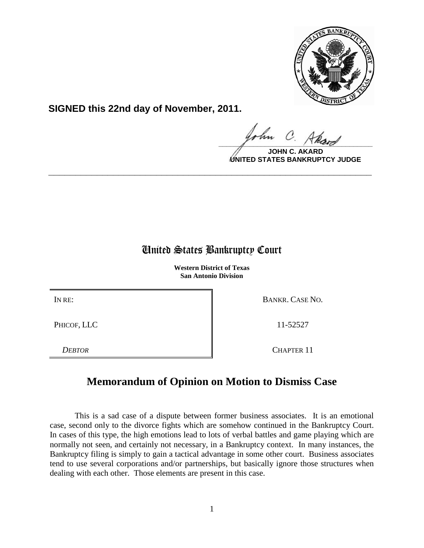

**SIGNED this 22nd day of November, 2011.**

 $\frac{1}{\sqrt{1-\frac{1}{2}}\sqrt{1-\frac{1}{2}}\sqrt{1-\frac{1}{2}}\sqrt{1-\frac{1}{2}}\sqrt{1-\frac{1}{2}}\sqrt{1-\frac{1}{2}}\sqrt{1-\frac{1}{2}}\sqrt{1-\frac{1}{2}}\sqrt{1-\frac{1}{2}}\sqrt{1-\frac{1}{2}}\sqrt{1-\frac{1}{2}}\sqrt{1-\frac{1}{2}}\sqrt{1-\frac{1}{2}}\sqrt{1-\frac{1}{2}}\sqrt{1-\frac{1}{2}}\sqrt{1-\frac{1}{2}}\sqrt{1-\frac{1}{2}}\sqrt{1-\frac{1}{2}}\sqrt{1-\frac{1}{2}}\sqrt{1-\frac$ 

**JOHN C UNITED STATES BANKRUPTCY JUDGE**

# United States Bankruptcy Court

**\_\_\_\_\_\_\_\_\_\_\_\_\_\_\_\_\_\_\_\_\_\_\_\_\_\_\_\_\_\_\_\_\_\_\_\_\_\_\_\_\_\_\_\_\_\_\_\_\_\_\_\_\_\_\_\_\_\_\_\_**

**Western District of Texas San Antonio Division**

PHICOF, LLC 11-52527

IN RE: BANKR. CASE NO.

*DEBTOR* CHAPTER 11

# **Memorandum of Opinion on Motion to Dismiss Case**

This is a sad case of a dispute between former business associates. It is an emotional case, second only to the divorce fights which are somehow continued in the Bankruptcy Court. In cases of this type, the high emotions lead to lots of verbal battles and game playing which are normally not seen, and certainly not necessary, in a Bankruptcy context. In many instances, the Bankruptcy filing is simply to gain a tactical advantage in some other court. Business associates tend to use several corporations and/or partnerships, but basically ignore those structures when dealing with each other. Those elements are present in this case.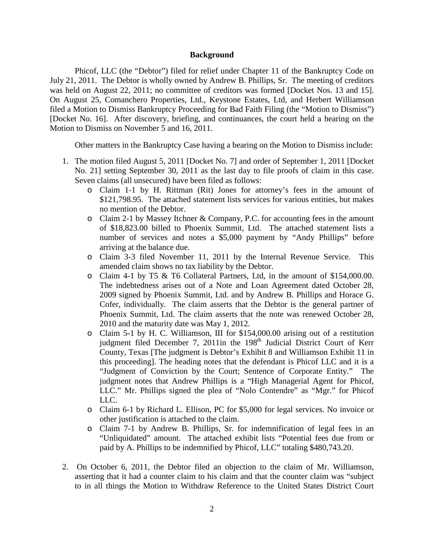### **Background**

Phicof, LLC (the "Debtor") filed for relief under Chapter 11 of the Bankruptcy Code on July 21, 2011. The Debtor is wholly owned by Andrew B. Phillips, Sr. The meeting of creditors was held on August 22, 2011; no committee of creditors was formed [Docket Nos. 13 and 15]. On August 25, Comanchero Properties, Ltd., Keystone Estates, Ltd, and Herbert Williamson filed a Motion to Dismiss Bankruptcy Proceeding for Bad Faith Filing (the "Motion to Dismiss") [Docket No. 16]. After discovery, briefing, and continuances, the court held a hearing on the Motion to Dismiss on November 5 and 16, 2011.

Other matters in the Bankruptcy Case having a bearing on the Motion to Dismiss include:

- 1. The motion filed August 5, 2011 [Docket No. 7] and order of September 1, 2011 [Docket No. 21] setting September 30, 2011 as the last day to file proofs of claim in this case. Seven claims (all unsecured) have been filed as follows:
	- o Claim 1-1 by H. Rittman (Rit) Jones for attorney's fees in the amount of \$121,798.95. The attached statement lists services for various entities, but makes no mention of the Debtor.
	- $\circ$  Claim 2-1 by Massey Itchner & Company, P.C. for accounting fees in the amount of \$18,823.00 billed to Phoenix Summit, Ltd. The attached statement lists a number of services and notes a \$5,000 payment by "Andy Phillips" before arriving at the balance due.
	- o Claim 3-3 filed November 11, 2011 by the Internal Revenue Service. This amended claim shows no tax liability by the Debtor.
	- o Claim 4-1 by T5 & T6 Collateral Partners, Ltd, in the amount of \$154,000.00. The indebtedness arises out of a Note and Loan Agreement dated October 28, 2009 signed by Phoenix Summit, Ltd. and by Andrew B. Phillips and Horace G. Cofer, individually. The claim asserts that the Debtor is the general partner of Phoenix Summit, Ltd. The claim asserts that the note was renewed October 28, 2010 and the maturity date was May 1, 2012.
	- o Claim 5-1 by H. C. Williamson, III for \$154,000.00 arising out of a restitution judgment filed December 7, 2011in the 198<sup>th</sup> Judicial District Court of Kerr County, Texas [The judgment is Debtor's Exhibit 8 and Williamson Exhibit 11 in this proceeding]. The heading notes that the defendant is Phicof LLC and it is a "Judgment of Conviction by the Court; Sentence of Corporate Entity." The judgment notes that Andrew Phillips is a "High Managerial Agent for Phicof, LLC." Mr. Phillips signed the plea of "Nolo Contendre" as "Mgr." for Phicof LLC.
	- o Claim 6-1 by Richard L. Ellison, PC for \$5,000 for legal services. No invoice or other justification is attached to the claim.
	- o Claim 7-1 by Andrew B. Phillips, Sr. for indemnification of legal fees in an "Unliquidated" amount. The attached exhibit lists "Potential fees due from or paid by A. Phillips to be indemnified by Phicof, LLC" totaling \$480,743.20.
- 2. On October 6, 2011, the Debtor filed an objection to the claim of Mr. Williamson, asserting that it had a counter claim to his claim and that the counter claim was "subject to in all things the Motion to Withdraw Reference to the United States District Court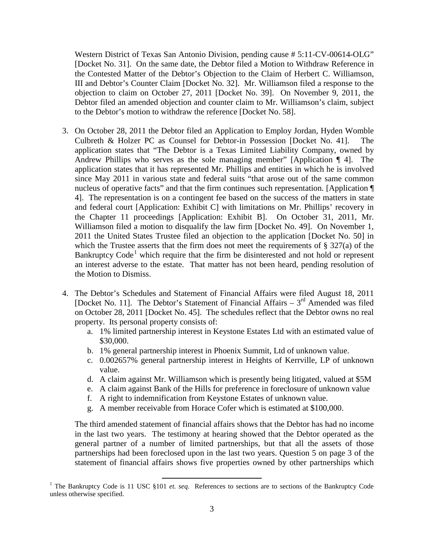Western District of Texas San Antonio Division, pending cause # 5:11-CV-00614-OLG" [Docket No. 31]. On the same date, the Debtor filed a Motion to Withdraw Reference in the Contested Matter of the Debtor's Objection to the Claim of Herbert C. Williamson, III and Debtor's Counter Claim [Docket No. 32]. Mr. Williamson filed a response to the objection to claim on October 27, 2011 [Docket No. 39]. On November 9, 2011, the Debtor filed an amended objection and counter claim to Mr. Williamson's claim, subject to the Debtor's motion to withdraw the reference [Docket No. 58].

- 3. On October 28, 2011 the Debtor filed an Application to Employ Jordan, Hyden Womble Culbreth & Holzer PC as Counsel for Debtor-in Possession [Docket No. 41]. application states that "The Debtor is a Texas Limited Liability Company, owned by Andrew Phillips who serves as the sole managing member" [Application ¶ 4]. The application states that it has represented Mr. Phillips and entities in which he is involved since May 2011 in various state and federal suits "that arose out of the same common nucleus of operative facts" and that the firm continues such representation. [Application  $\P$ 4]. The representation is on a contingent fee based on the success of the matters in state and federal court [Application: Exhibit C] with limitations on Mr. Phillips' recovery in the Chapter 11 proceedings [Application: Exhibit B]. On October 31, 2011, Mr. Williamson filed a motion to disqualify the law firm [Docket No. 49]. On November 1, 2011 the United States Trustee filed an objection to the application [Docket No. 50] in which the Trustee asserts that the firm does not meet the requirements of  $\S 327(a)$  of the Bankruptcy Code<sup>[1](#page-2-0)</sup> which require that the firm be disinterested and not hold or represent an interest adverse to the estate. That matter has not been heard, pending resolution of the Motion to Dismiss.
- 4. The Debtor's Schedules and Statement of Financial Affairs were filed August 18, 2011 [Docket No. 11]. The Debtor's Statement of Financial Affairs  $-3^{rd}$  Amended was filed on October 28, 2011 [Docket No. 45]. The schedules reflect that the Debtor owns no real property. Its personal property consists of:
	- a. 1% limited partnership interest in Keystone Estates Ltd with an estimated value of \$30,000.
	- b. 1% general partnership interest in Phoenix Summit, Ltd of unknown value.
	- c. 0.002657% general partnership interest in Heights of Kerrville, LP of unknown value.
	- d. A claim against Mr. Williamson which is presently being litigated, valued at \$5M
	- e. A claim against Bank of the Hills for preference in foreclosure of unknown value
	- f. A right to indemnification from Keystone Estates of unknown value.
	- g. A member receivable from Horace Cofer which is estimated at \$100,000.

The third amended statement of financial affairs shows that the Debtor has had no income in the last two years. The testimony at hearing showed that the Debtor operated as the general partner of a number of limited partnerships, but that all the assets of those partnerships had been foreclosed upon in the last two years. Question 5 on page 3 of the statement of financial affairs shows five properties owned by other partnerships which

<span id="page-2-0"></span><sup>&</sup>lt;sup>1</sup> The Bankruptcy Code is 11 USC §101 *et. seq.* References to sections are to sections of the Bankruptcy Code unless otherwise specified.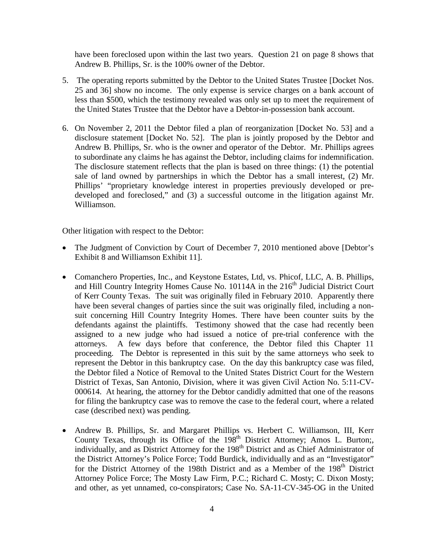have been foreclosed upon within the last two years. Question 21 on page 8 shows that Andrew B. Phillips, Sr. is the 100% owner of the Debtor.

- 5. The operating reports submitted by the Debtor to the United States Trustee [Docket Nos. 25 and 36] show no income. The only expense is service charges on a bank account of less than \$500, which the testimony revealed was only set up to meet the requirement of the United States Trustee that the Debtor have a Debtor-in-possession bank account.
- 6. On November 2, 2011 the Debtor filed a plan of reorganization [Docket No. 53] and a disclosure statement [Docket No. 52]. The plan is jointly proposed by the Debtor and Andrew B. Phillips, Sr. who is the owner and operator of the Debtor. Mr. Phillips agrees to subordinate any claims he has against the Debtor, including claims for indemnification. The disclosure statement reflects that the plan is based on three things: (1) the potential sale of land owned by partnerships in which the Debtor has a small interest, (2) Mr. Phillips' "proprietary knowledge interest in properties previously developed or predeveloped and foreclosed," and (3) a successful outcome in the litigation against Mr. Williamson.

Other litigation with respect to the Debtor:

- The Judgment of Conviction by Court of December 7, 2010 mentioned above [Debtor's Exhibit 8 and Williamson Exhibit 11].
- Comanchero Properties, Inc., and Keystone Estates, Ltd, vs. Phicof, LLC, A. B. Phillips, and Hill Country Integrity Homes Cause No. 10114A in the 216<sup>th</sup> Judicial District Court of Kerr County Texas. The suit was originally filed in February 2010. Apparently there have been several changes of parties since the suit was originally filed, including a nonsuit concerning Hill Country Integrity Homes. There have been counter suits by the defendants against the plaintiffs. Testimony showed that the case had recently been assigned to a new judge who had issued a notice of pre-trial conference with the attorneys. A few days before that conference, the Debtor filed this Chapter 11 proceeding. The Debtor is represented in this suit by the same attorneys who seek to represent the Debtor in this bankruptcy case. On the day this bankruptcy case was filed, the Debtor filed a Notice of Removal to the United States District Court for the Western District of Texas, San Antonio, Division, where it was given Civil Action No. 5:11-CV-000614. At hearing, the attorney for the Debtor candidly admitted that one of the reasons for filing the bankruptcy case was to remove the case to the federal court, where a related case (described next) was pending.
- Andrew B. Phillips, Sr. and Margaret Phillips vs. Herbert C. Williamson, III, Kerr County Texas, through its Office of the  $198<sup>th</sup>$  District Attorney; Amos L. Burton;, individually, and as District Attorney for the 198<sup>th</sup> District and as Chief Administrator of the District Attorney's Police Force; Todd Burdick, individually and as an "Investigator" for the District Attorney of the 198th District and as a Member of the 198<sup>th</sup> District Attorney Police Force; The Mosty Law Firm, P.C.; Richard C. Mosty; C. Dixon Mosty; and other, as yet unnamed, co-conspirators; Case No. SA-11-CV-345-OG in the United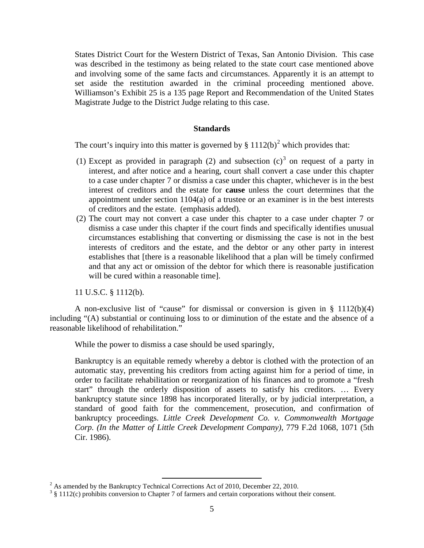States District Court for the Western District of Texas, San Antonio Division. This case was described in the testimony as being related to the state court case mentioned above and involving some of the same facts and circumstances. Apparently it is an attempt to set aside the restitution awarded in the criminal proceeding mentioned above. Williamson's Exhibit 25 is a 135 page Report and Recommendation of the United States Magistrate Judge to the District Judge relating to this case.

### **Standards**

The court's inquiry into this matter is governed by  $\S 1112(b)^2$  $\S 1112(b)^2$  $\S 1112(b)^2$  which provides that:

- (1) Except as provided in paragraph (2) and subsection  $(c)^3$  $(c)^3$  on request of a party in interest, and after notice and a hearing, court shall convert a case under this chapter to a case under chapter 7 or dismiss a case under this chapter, whichever is in the best interest of creditors and the estate for **cause** unless the court determines that the appointment under section  $1104(a)$  of a trustee or an examiner is in the best interests of creditors and the estate. (emphasis added).
- (2) The court may not convert a case under this chapter to a case under chapter 7 or dismiss a case under this chapter if the court finds and specifically identifies unusual circumstances establishing that converting or dismissing the case is not in the best interests of creditors and the estate, and the debtor or any other party in interest establishes that [there is a reasonable likelihood that a plan will be timely confirmed and that any act or omission of the debtor for which there is reasonable justification will be cured within a reasonable time].

11 U.S.C. § 1112(b).

A non-exclusive list of "cause" for dismissal or conversion is given in  $\S$  1112(b)(4) including "(A) substantial or continuing loss to or diminution of the estate and the absence of a reasonable likelihood of rehabilitation."

While the power to dismiss a case should be used sparingly,

Bankruptcy is an equitable remedy whereby a debtor is clothed with the protection of an automatic stay, preventing his creditors from acting against him for a period of time, in order to facilitate rehabilitation or reorganization of his finances and to promote a "fresh start" through the orderly disposition of assets to satisfy his creditors. … Every bankruptcy statute since 1898 has incorporated literally, or by judicial interpretation, a standard of good faith for the commencement, prosecution, and confirmation of bankruptcy proceedings. *Little Creek Development Co. v. Commonwealth Mortgage Corp. (In the Matter of Little Creek Development Company)*, 779 F.2d 1068, 1071 (5th Cir. 1986).

<span id="page-4-0"></span> $2^{2}$  As amended by the Bankruptcy Technical Corrections Act of 2010, December 22, 2010.

<span id="page-4-1"></span><sup>&</sup>lt;sup>3</sup> § 1112(c) prohibits conversion to Chapter 7 of farmers and certain corporations without their consent.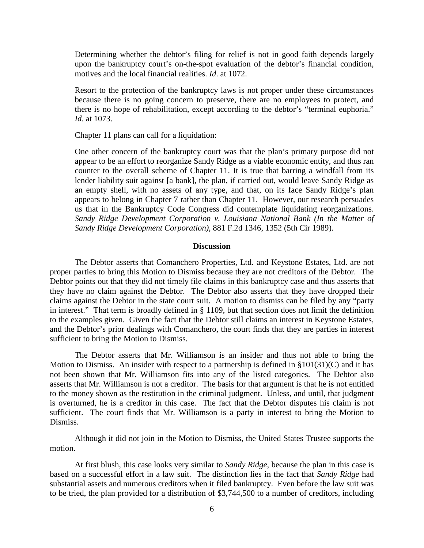Determining whether the debtor's filing for relief is not in good faith depends largely upon the bankruptcy court's on-the-spot evaluation of the debtor's financial condition, motives and the local financial realities. *Id*. at 1072.

Resort to the protection of the bankruptcy laws is not proper under these circumstances because there is no going concern to preserve, there are no employees to protect, and there is no hope of rehabilitation, except according to the debtor's "terminal euphoria." *Id*. at 1073.

Chapter 11 plans can call for a liquidation:

One other concern of the bankruptcy court was that the plan's primary purpose did not appear to be an effort to reorganize Sandy Ridge as a viable economic entity, and thus ran counter to the overall scheme of Chapter 11. It is true that barring a windfall from its lender liability suit against [a bank], the plan, if carried out, would leave Sandy Ridge as an empty shell, with no assets of any type, and that, on its face Sandy Ridge's plan appears to belong in Chapter 7 rather than Chapter 11. However, our research persuades us that in the Bankruptcy Code Congress did contemplate liquidating reorganizations. *Sandy Ridge Development Corporation v. Louisiana National Bank (In the Matter of Sandy Ridge Development Corporation)*, 881 F.2d 1346, 1352 (5th Cir 1989).

#### **Discussion**

The Debtor asserts that Comanchero Properties, Ltd. and Keystone Estates, Ltd. are not proper parties to bring this Motion to Dismiss because they are not creditors of the Debtor. The Debtor points out that they did not timely file claims in this bankruptcy case and thus asserts that they have no claim against the Debtor. The Debtor also asserts that they have dropped their claims against the Debtor in the state court suit. A motion to dismiss can be filed by any "party in interest." That term is broadly defined in § 1109, but that section does not limit the definition to the examples given. Given the fact that the Debtor still claims an interest in Keystone Estates, and the Debtor's prior dealings with Comanchero, the court finds that they are parties in interest sufficient to bring the Motion to Dismiss.

The Debtor asserts that Mr. Williamson is an insider and thus not able to bring the Motion to Dismiss. An insider with respect to a partnership is defined in §101(31)(C) and it has not been shown that Mr. Williamson fits into any of the listed categories. The Debtor also asserts that Mr. Williamson is not a creditor. The basis for that argument is that he is not entitled to the money shown as the restitution in the criminal judgment. Unless, and until, that judgment is overturned, he is a creditor in this case. The fact that the Debtor disputes his claim is not sufficient. The court finds that Mr. Williamson is a party in interest to bring the Motion to Dismiss.

Although it did not join in the Motion to Dismiss, the United States Trustee supports the motion.

At first blush, this case looks very similar to *Sandy Ridge*, because the plan in this case is based on a successful effort in a law suit. The distinction lies in the fact that *Sandy Ridge* had substantial assets and numerous creditors when it filed bankruptcy. Even before the law suit was to be tried, the plan provided for a distribution of \$3,744,500 to a number of creditors, including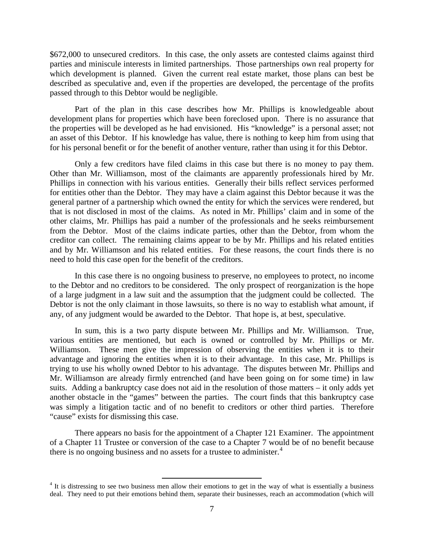\$672,000 to unsecured creditors. In this case, the only assets are contested claims against third parties and miniscule interests in limited partnerships. Those partnerships own real property for which development is planned. Given the current real estate market, those plans can best be described as speculative and, even if the properties are developed, the percentage of the profits passed through to this Debtor would be negligible.

Part of the plan in this case describes how Mr. Phillips is knowledgeable about development plans for properties which have been foreclosed upon. There is no assurance that the properties will be developed as he had envisioned. His "knowledge" is a personal asset; not an asset of this Debtor. If his knowledge has value, there is nothing to keep him from using that for his personal benefit or for the benefit of another venture, rather than using it for this Debtor.

Only a few creditors have filed claims in this case but there is no money to pay them. Other than Mr. Williamson, most of the claimants are apparently professionals hired by Mr. Phillips in connection with his various entities. Generally their bills reflect services performed for entities other than the Debtor. They may have a claim against this Debtor because it was the general partner of a partnership which owned the entity for which the services were rendered, but that is not disclosed in most of the claims. As noted in Mr. Phillips' claim and in some of the other claims, Mr. Phillips has paid a number of the professionals and he seeks reimbursement from the Debtor. Most of the claims indicate parties, other than the Debtor, from whom the creditor can collect. The remaining claims appear to be by Mr. Phillips and his related entities and by Mr. Williamson and his related entities. For these reasons, the court finds there is no need to hold this case open for the benefit of the creditors.

In this case there is no ongoing business to preserve, no employees to protect, no income to the Debtor and no creditors to be considered. The only prospect of reorganization is the hope of a large judgment in a law suit and the assumption that the judgment could be collected. The Debtor is not the only claimant in those lawsuits, so there is no way to establish what amount, if any, of any judgment would be awarded to the Debtor. That hope is, at best, speculative.

In sum, this is a two party dispute between Mr. Phillips and Mr. Williamson. True, various entities are mentioned, but each is owned or controlled by Mr. Phillips or Mr. Williamson. These men give the impression of observing the entities when it is to their advantage and ignoring the entities when it is to their advantage. In this case, Mr. Phillips is trying to use his wholly owned Debtor to his advantage. The disputes between Mr. Phillips and Mr. Williamson are already firmly entrenched (and have been going on for some time) in law suits. Adding a bankruptcy case does not aid in the resolution of those matters – it only adds yet another obstacle in the "games" between the parties. The court finds that this bankruptcy case was simply a litigation tactic and of no benefit to creditors or other third parties. Therefore "cause" exists for dismissing this case.

There appears no basis for the appointment of a Chapter 121 Examiner. The appointment of a Chapter 11 Trustee or conversion of the case to a Chapter 7 would be of no benefit because there is no ongoing business and no assets for a trustee to administer.<sup>[4](#page-6-0)</sup>

<span id="page-6-0"></span> $4$  It is distressing to see two business men allow their emotions to get in the way of what is essentially a business deal. They need to put their emotions behind them, separate their businesses, reach an accommodation (which will